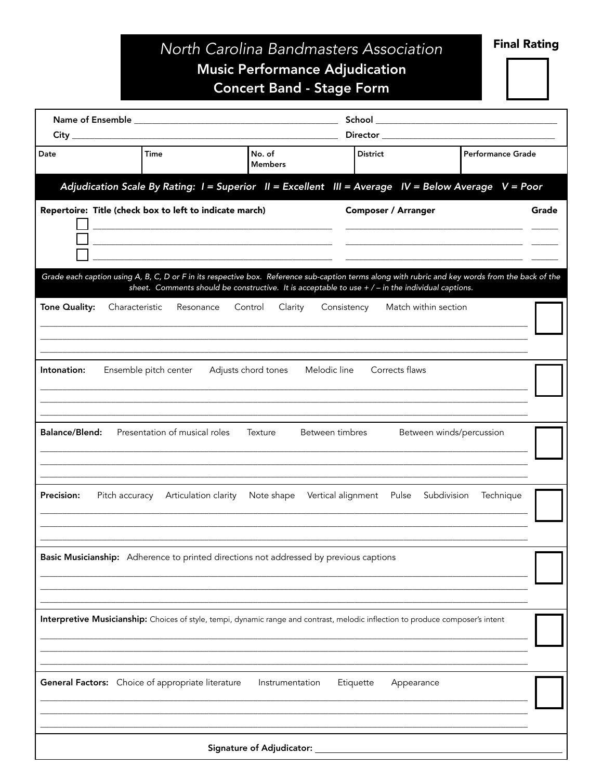## North Carolina Bandmasters Association Music Performance Adjudication **Concert Band - Stage Form**

**Final Rating** 

| Date                  | <b>Time</b>                                             |                                                                                                                                                                          | No. of<br><b>Members</b> | <b>District</b>                                                                                                                                                                                                                                                      |                            | <b>Performance Grade</b> |       |
|-----------------------|---------------------------------------------------------|--------------------------------------------------------------------------------------------------------------------------------------------------------------------------|--------------------------|----------------------------------------------------------------------------------------------------------------------------------------------------------------------------------------------------------------------------------------------------------------------|----------------------------|--------------------------|-------|
|                       |                                                         |                                                                                                                                                                          |                          | Adjudication Scale By Rating: I = Superior II = Excellent III = Average IV = Below Average V = Poor                                                                                                                                                                  |                            |                          |       |
|                       | Repertoire: Title (check box to left to indicate march) | <u> 2000 - Januar Alexander Alexander (h. 1878).</u><br>and the control of the control of the control of the control of the control of the control of the control of the |                          |                                                                                                                                                                                                                                                                      | <b>Composer / Arranger</b> |                          | Grade |
| Tone Quality:         | Characteristic                                          | Resonance                                                                                                                                                                | Clarity<br>Control       | Grade each caption using A, B, C, D or F in its respective box. Reference sub-caption terms along with rubric and key words from the back of the<br>sheet. Comments should be constructive. It is acceptable to use $+/-$ in the individual captions.<br>Consistency | Match within section       |                          |       |
|                       |                                                         |                                                                                                                                                                          |                          |                                                                                                                                                                                                                                                                      |                            |                          |       |
| Intonation:           | Ensemble pitch center                                   |                                                                                                                                                                          | Adjusts chord tones      | Melodic line                                                                                                                                                                                                                                                         | Corrects flaws             |                          |       |
| <b>Balance/Blend:</b> |                                                         | Presentation of musical roles                                                                                                                                            | Texture                  | Between timbres                                                                                                                                                                                                                                                      |                            | Between winds/percussion |       |
| <b>Precision:</b>     | Pitch accuracy Articulation clarity                     |                                                                                                                                                                          | Note shape               | Vertical alignment  Pulse  Subdivision                                                                                                                                                                                                                               |                            | Technique                |       |
|                       |                                                         |                                                                                                                                                                          |                          | Basic Musicianship: Adherence to printed directions not addressed by previous captions                                                                                                                                                                               |                            |                          |       |
|                       |                                                         |                                                                                                                                                                          |                          | Interpretive Musicianship: Choices of style, tempi, dynamic range and contrast, melodic inflection to produce composer's intent                                                                                                                                      |                            |                          |       |
|                       | General Factors: Choice of appropriate literature       |                                                                                                                                                                          | Instrumentation          | Etiquette                                                                                                                                                                                                                                                            | Appearance                 |                          |       |
|                       |                                                         |                                                                                                                                                                          |                          |                                                                                                                                                                                                                                                                      |                            |                          |       |